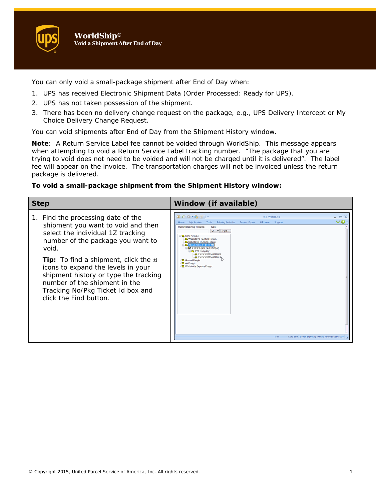You can only void a small-package shipment after End of Day when:

- 1. UPS has received Electronic Shipment Data (Order Processed: Ready for UPS).
- 2. UPS has not taken possession of the shipment.
- 3. There has been no delivery change request on the package, e.g., UPS Delivery Intercept or My Choice Delivery Change Request.

You can void shipments after End of Day from the Shipment History window.

**Note**: A Return Service Label fee cannot be voided through WorldShip. This message appears when attempting to void a Return Service Label tracking number. "The package that you are trying to void does not need to be voided and will not be charged until it is delivered". The label fee will appear on the invoice. The transportation charges will not be invoiced unless the return package is delivered.

## **To void a small-package shipment from the Shipment History window:**

| <b>Step</b>                                                                                                                                                                                                                                                                                                                                                                                        | Window (if available)                                                                                                                                                                                                                                                                                                                                                                                                                                                                                                                                                                                                                                                               |
|----------------------------------------------------------------------------------------------------------------------------------------------------------------------------------------------------------------------------------------------------------------------------------------------------------------------------------------------------------------------------------------------------|-------------------------------------------------------------------------------------------------------------------------------------------------------------------------------------------------------------------------------------------------------------------------------------------------------------------------------------------------------------------------------------------------------------------------------------------------------------------------------------------------------------------------------------------------------------------------------------------------------------------------------------------------------------------------------------|
| 1. Find the processing date of the<br>shipment you want to void and then<br>select the individual 1Z tracking<br>number of the package you want to<br>void.<br><b>Tip:</b> To find a shipment, click the $\boxplus$<br>icons to expand the levels in your<br>shipment history or type the tracking<br>number of the shipment in the<br>Tracking No/Pkg Ticket Id box and<br>click the Find button. | $\mathbf{1} \odot \mathbf{0} \cdot \mathbf{e}_2 \oplus \cdots$<br>$- = x$<br><b>UPS WorldShip</b><br>$\bm{\vee}$ Q<br><b>Printing Activities</b><br>Import-Export UPS.com Support<br>My Services<br>Tools<br>Tracking No/Pkg Ticket Id.<br>Type:<br>$12 \times$ Find<br><b>Q</b> UPS Pickups<br><b>D.</b> Weekday's Pending Pickup<br><b>D.</b> Saturday's Pending Pickup<br>$1 - 0$ ct-2013 - 11:41:15 A<br><b>W</b> XXXXX (WS Test Shipper)<br><b>Co</b> XYZ Company<br><b>3</b> 1XXXXX70340000028<br><b>69 1XXXXX70340000019</b><br><b>Q</b> Ground Freight<br>Air Freight<br><b>Q.</b> Worldwide Express Freight<br>Ver:<br>Data Sent 1 total shpmt(s) Pickup Rec: 0350394 00 4 |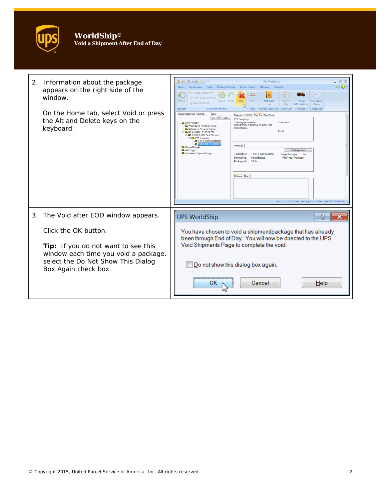

| 2.<br>Information about the package<br>appears on the right side of the<br>window.<br>On the Home tab, select Void or press<br>the Alt and Delete keys on the<br>keyboard. | Ⅲ◎※~☆☆)<br>. . x<br><b>UPS WorldShip</b><br>^ 0<br>My Services Tools<br><b>Printing Activities</b><br>Import-Export<br>UPS.com<br>Support<br>Home<br>Create a Return<br>$\searrow$<br>Multi-piece Shipment<br>History<br>Repeat Undo<br>Void<br>Track<br>Messaging<br><b><i><u>Ariracca</u></i></b><br>Pickur<br>Save Shipment<br>Information<br>Center<br>Day<br>Navigate<br>Shipment Activities<br>Track<br>Manage Addresses End of Day<br>Pidcups<br>Messages<br>Tracking No/Pkg Ticket ld:<br>Type:<br>Shipper: XXXXX Ship To Ship From<br>12 = Find<br>XYZ Company<br>3355 Highgrove Road<br>Telephone<br><b>L</b> UPS Pickups<br>LUTHERVILLE TIMONIUM, MD 21093<br>Weekday's Pending Pickup<br><b>United States</b><br>Saturday's Pending Pickup<br>Email<br>21-Oct-2013 - 11:41:15 AM<br>A XXXXX (WS Test Shipper)<br><b>CB</b> XYZ Company<br>@ 1XXXXX7034000002<br>Package<br>Ground Freight<br>Air Freight<br>Package Cost<br>Worldwide Express Freight<br>1) (XXXX70340000019<br>Tracking No:<br>Large Package<br>Dimensions:<br>None Entered<br>Pkg Type: Package<br>Package Wt<br>3.0 <sub>b</sub><br>Options Misc.<br>Ver:<br>Data Sent Package 2 of 2 Pickup Rec: 0350394 00 4 |
|----------------------------------------------------------------------------------------------------------------------------------------------------------------------------|-----------------------------------------------------------------------------------------------------------------------------------------------------------------------------------------------------------------------------------------------------------------------------------------------------------------------------------------------------------------------------------------------------------------------------------------------------------------------------------------------------------------------------------------------------------------------------------------------------------------------------------------------------------------------------------------------------------------------------------------------------------------------------------------------------------------------------------------------------------------------------------------------------------------------------------------------------------------------------------------------------------------------------------------------------------------------------------------------------------------------------------------------------------------------------------------------|
| The Void after EOD window appears.<br>3.                                                                                                                                   | <b>UPS WorldShip</b>                                                                                                                                                                                                                                                                                                                                                                                                                                                                                                                                                                                                                                                                                                                                                                                                                                                                                                                                                                                                                                                                                                                                                                          |
| Click the OK button.<br>Tip: If you do not want to see this<br>window each time you void a package,<br>select the Do Not Show This Dialog<br>Box Again check box.          | You have chosen to void a shipment/package that has already<br>been through End of Day. You will now be directed to the UPS<br>Void Shipments Page to complete the void.                                                                                                                                                                                                                                                                                                                                                                                                                                                                                                                                                                                                                                                                                                                                                                                                                                                                                                                                                                                                                      |
|                                                                                                                                                                            | Do not show this dialog box again.                                                                                                                                                                                                                                                                                                                                                                                                                                                                                                                                                                                                                                                                                                                                                                                                                                                                                                                                                                                                                                                                                                                                                            |
|                                                                                                                                                                            | Cancel<br>Help<br>OK                                                                                                                                                                                                                                                                                                                                                                                                                                                                                                                                                                                                                                                                                                                                                                                                                                                                                                                                                                                                                                                                                                                                                                          |